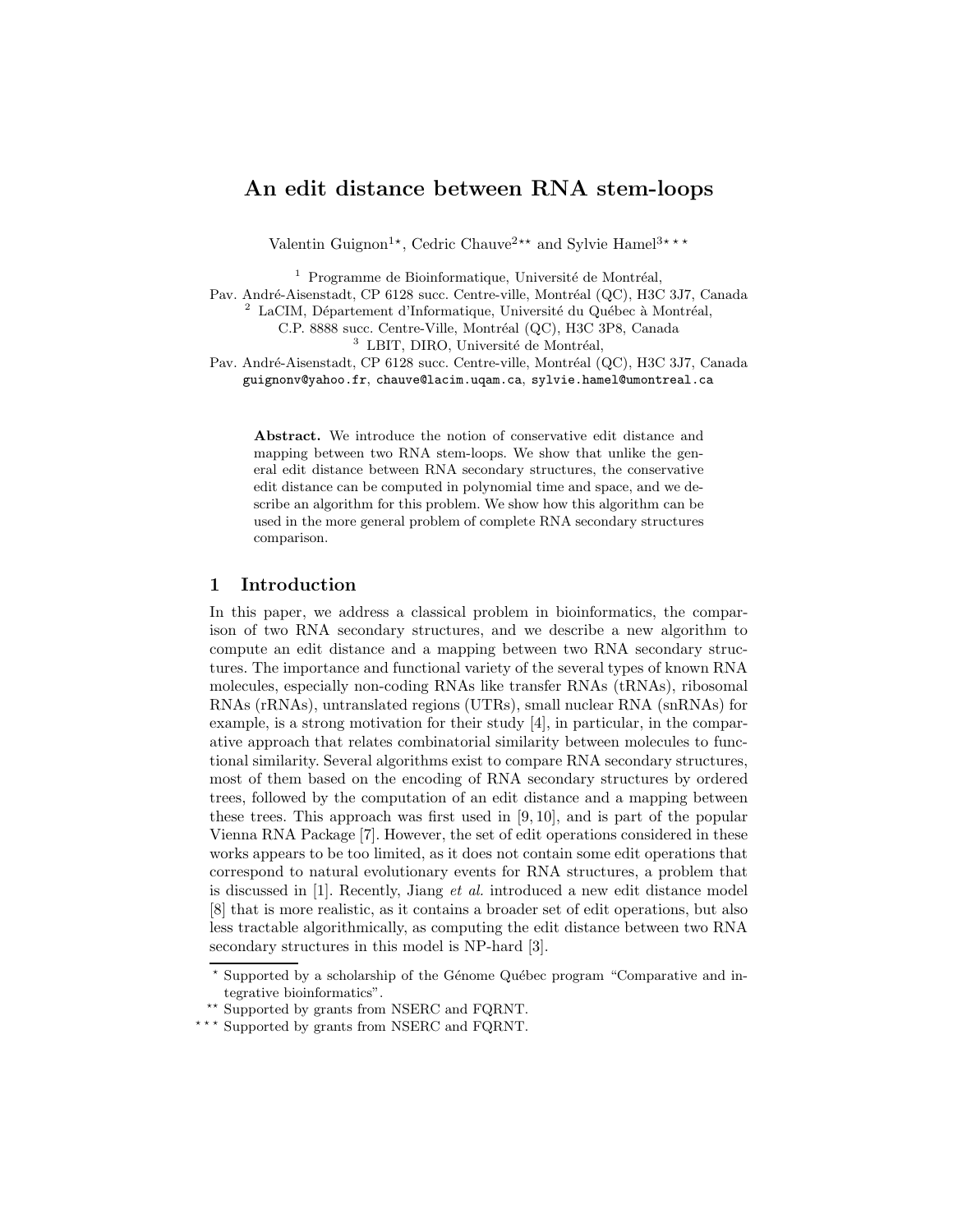# An edit distance between RNA stem-loops

Valentin Guignon<sup>1\*</sup>, Cedric Chauve<sup>2\*\*</sup> and Sylvie Hamel<sup>3\*\*\*</sup>

 $1$  Programme de Bioinformatique, Université de Montréal,

Pav. André-Aisenstadt, CP 6128 succ. Centre-ville, Montréal (QC), H3C 3J7, Canada

 $2$  LaCIM, Département d'Informatique, Université du Québec à Montréal,

C.P. 8888 succ. Centre-Ville, Montréal (QC), H3C 3P8, Canada

<sup>3</sup> LBIT, DIRO, Université de Montréal,

Pav. André-Aisenstadt, CP 6128 succ. Centre-ville, Montréal (QC), H3C 3J7, Canada guignonv@yahoo.fr, chauve@lacim.uqam.ca, sylvie.hamel@umontreal.ca

Abstract. We introduce the notion of conservative edit distance and mapping between two RNA stem-loops. We show that unlike the general edit distance between RNA secondary structures, the conservative edit distance can be computed in polynomial time and space, and we describe an algorithm for this problem. We show how this algorithm can be used in the more general problem of complete RNA secondary structures comparison.

## 1 Introduction

In this paper, we address a classical problem in bioinformatics, the comparison of two RNA secondary structures, and we describe a new algorithm to compute an edit distance and a mapping between two RNA secondary structures. The importance and functional variety of the several types of known RNA molecules, especially non-coding RNAs like transfer RNAs (tRNAs), ribosomal RNAs (rRNAs), untranslated regions (UTRs), small nuclear RNA (snRNAs) for example, is a strong motivation for their study [4], in particular, in the comparative approach that relates combinatorial similarity between molecules to functional similarity. Several algorithms exist to compare RNA secondary structures, most of them based on the encoding of RNA secondary structures by ordered trees, followed by the computation of an edit distance and a mapping between these trees. This approach was first used in [9, 10], and is part of the popular Vienna RNA Package [7]. However, the set of edit operations considered in these works appears to be too limited, as it does not contain some edit operations that correspond to natural evolutionary events for RNA structures, a problem that is discussed in [1]. Recently, Jiang et al. introduced a new edit distance model [8] that is more realistic, as it contains a broader set of edit operations, but also less tractable algorithmically, as computing the edit distance between two RNA secondary structures in this model is NP-hard [3].

<sup>\*</sup> Supported by a scholarship of the Génome Québec program "Comparative and integrative bioinformatics".

<sup>\*\*</sup> Supported by grants from NSERC and FQRNT.

<sup>\*\*\*</sup> Supported by grants from NSERC and FQRNT.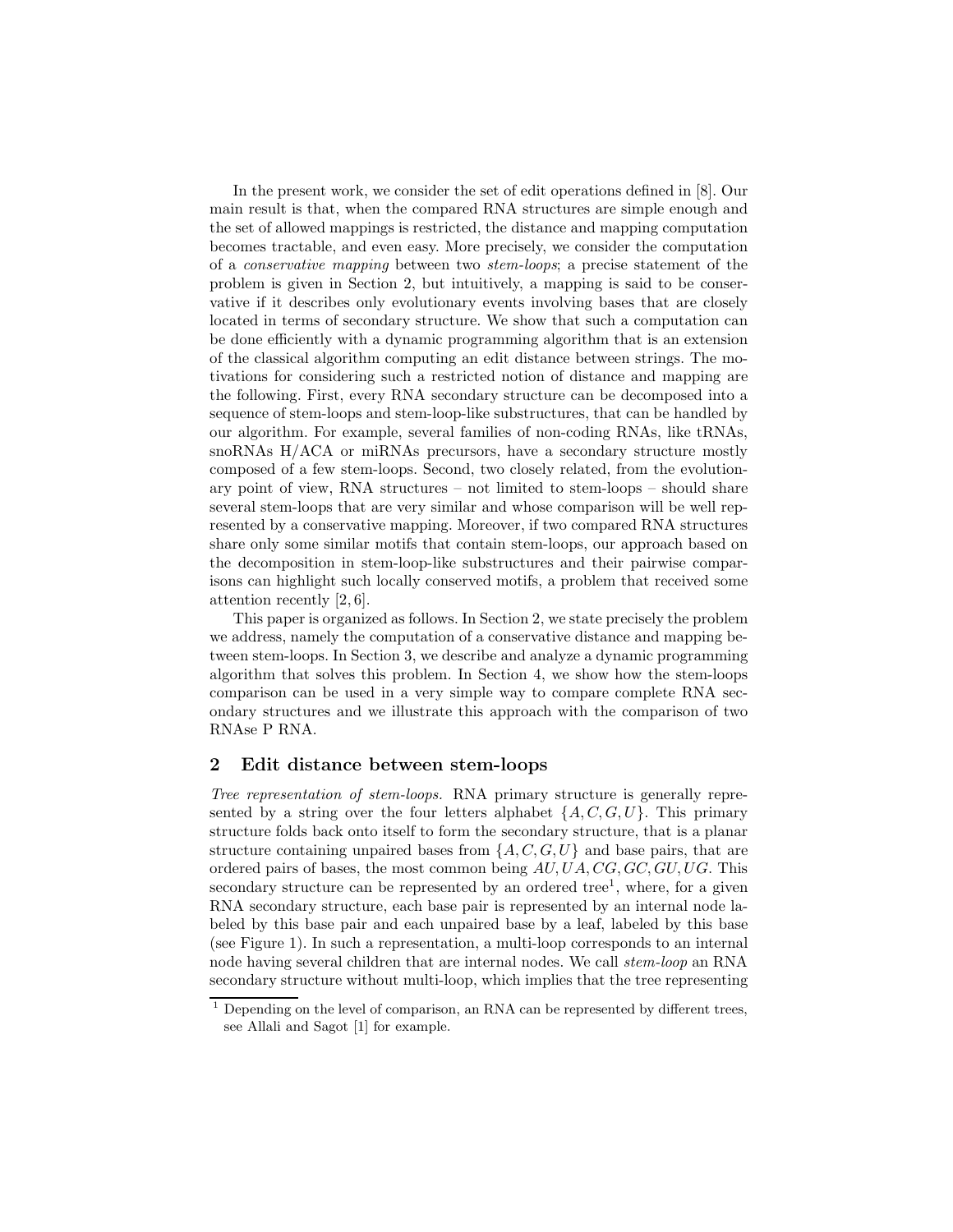In the present work, we consider the set of edit operations defined in [8]. Our main result is that, when the compared RNA structures are simple enough and the set of allowed mappings is restricted, the distance and mapping computation becomes tractable, and even easy. More precisely, we consider the computation of a conservative mapping between two stem-loops; a precise statement of the problem is given in Section 2, but intuitively, a mapping is said to be conservative if it describes only evolutionary events involving bases that are closely located in terms of secondary structure. We show that such a computation can be done efficiently with a dynamic programming algorithm that is an extension of the classical algorithm computing an edit distance between strings. The motivations for considering such a restricted notion of distance and mapping are the following. First, every RNA secondary structure can be decomposed into a sequence of stem-loops and stem-loop-like substructures, that can be handled by our algorithm. For example, several families of non-coding RNAs, like tRNAs, snoRNAs H/ACA or miRNAs precursors, have a secondary structure mostly composed of a few stem-loops. Second, two closely related, from the evolutionary point of view, RNA structures – not limited to stem-loops – should share several stem-loops that are very similar and whose comparison will be well represented by a conservative mapping. Moreover, if two compared RNA structures share only some similar motifs that contain stem-loops, our approach based on the decomposition in stem-loop-like substructures and their pairwise comparisons can highlight such locally conserved motifs, a problem that received some attention recently [2, 6].

This paper is organized as follows. In Section 2, we state precisely the problem we address, namely the computation of a conservative distance and mapping between stem-loops. In Section 3, we describe and analyze a dynamic programming algorithm that solves this problem. In Section 4, we show how the stem-loops comparison can be used in a very simple way to compare complete RNA secondary structures and we illustrate this approach with the comparison of two RNAse P RNA.

#### 2 Edit distance between stem-loops

Tree representation of stem-loops. RNA primary structure is generally represented by a string over the four letters alphabet  $\{A, C, G, U\}$ . This primary structure folds back onto itself to form the secondary structure, that is a planar structure containing unpaired bases from  $\{A, C, G, U\}$  and base pairs, that are ordered pairs of bases, the most common being  $AU, UA, CG, GC, GU, UG$ . This secondary structure can be represented by an ordered tree<sup>1</sup>, where, for a given RNA secondary structure, each base pair is represented by an internal node labeled by this base pair and each unpaired base by a leaf, labeled by this base (see Figure 1). In such a representation, a multi-loop corresponds to an internal node having several children that are internal nodes. We call stem-loop an RNA secondary structure without multi-loop, which implies that the tree representing

 $1$  Depending on the level of comparison, an RNA can be represented by different trees, see Allali and Sagot [1] for example.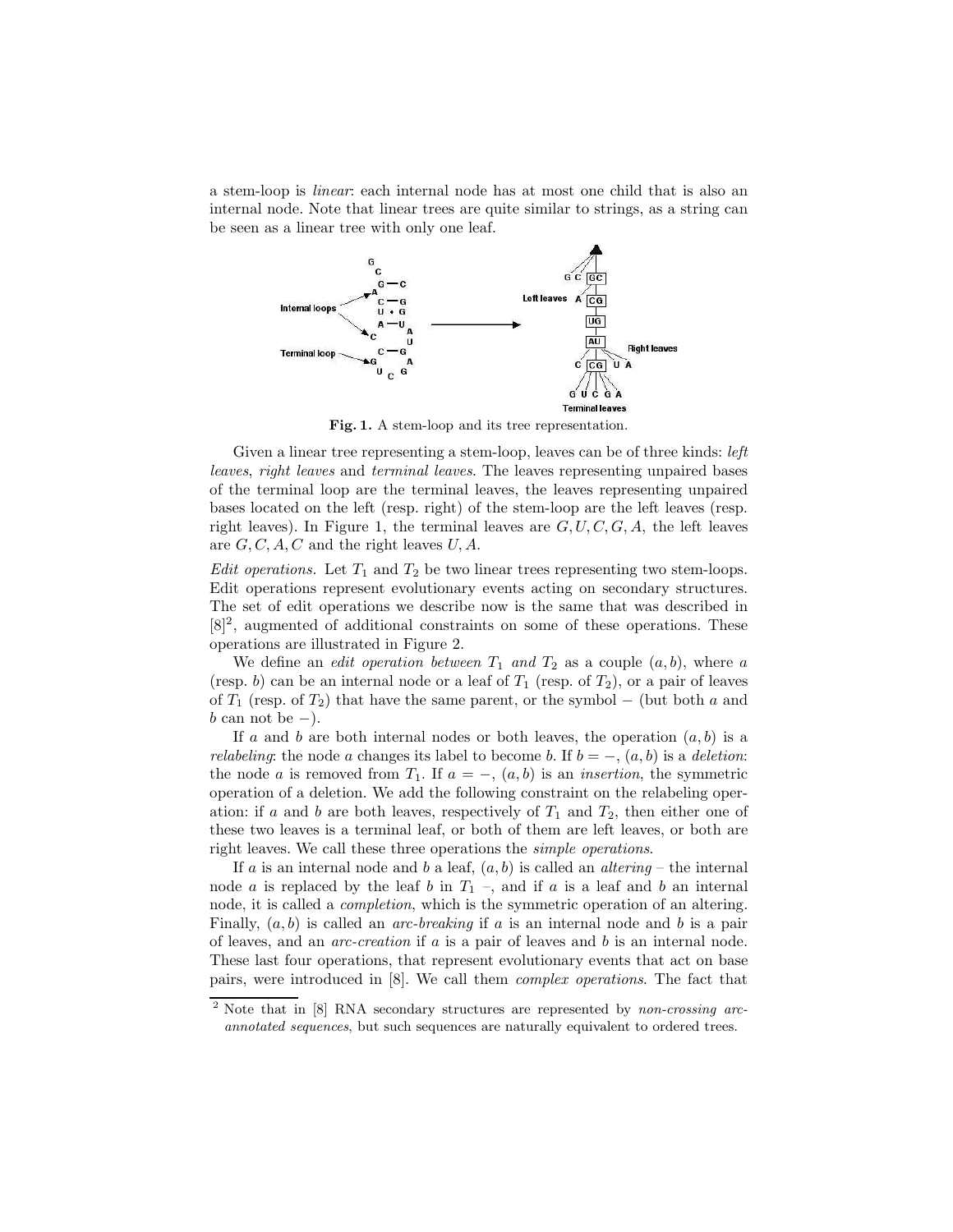a stem-loop is linear: each internal node has at most one child that is also an internal node. Note that linear trees are quite similar to strings, as a string can be seen as a linear tree with only one leaf.



Fig. 1. A stem-loop and its tree representation.

Given a linear tree representing a stem-loop, leaves can be of three kinds: *left* leaves, right leaves and terminal leaves. The leaves representing unpaired bases of the terminal loop are the terminal leaves, the leaves representing unpaired bases located on the left (resp. right) of the stem-loop are the left leaves (resp. right leaves). In Figure 1, the terminal leaves are  $G, U, C, G, A$ , the left leaves are  $G, C, A, C$  and the right leaves  $U, A$ .

*Edit operations.* Let  $T_1$  and  $T_2$  be two linear trees representing two stem-loops. Edit operations represent evolutionary events acting on secondary structures. The set of edit operations we describe now is the same that was described in  $[8]^2$ , augmented of additional constraints on some of these operations. These operations are illustrated in Figure 2.

We define an *edit operation between*  $T_1$  and  $T_2$  as a couple  $(a, b)$ , where a (resp. b) can be an internal node or a leaf of  $T_1$  (resp. of  $T_2$ ), or a pair of leaves of  $T_1$  (resp. of  $T_2$ ) that have the same parent, or the symbol – (but both a and  $b$  can not be  $-$ ).

If a and b are both internal nodes or both leaves, the operation  $(a, b)$  is a *relabeling*: the node a changes its label to become b. If  $b = -$ ,  $(a, b)$  is a deletion: the node a is removed from  $T_1$ . If  $a = -$ ,  $(a, b)$  is an *insertion*, the symmetric operation of a deletion. We add the following constraint on the relabeling operation: if a and b are both leaves, respectively of  $T_1$  and  $T_2$ , then either one of these two leaves is a terminal leaf, or both of them are left leaves, or both are right leaves. We call these three operations the simple operations.

If a is an internal node and b a leaf,  $(a, b)$  is called an altering – the internal node a is replaced by the leaf b in  $T_1$  –, and if a is a leaf and b an internal node, it is called a completion, which is the symmetric operation of an altering. Finally,  $(a, b)$  is called an *arc-breaking* if a is an internal node and b is a pair of leaves, and an  $arc\text{-}creation$  if  $a$  is a pair of leaves and  $b$  is an internal node. These last four operations, that represent evolutionary events that act on base pairs, were introduced in [8]. We call them complex operations. The fact that

<sup>&</sup>lt;sup>2</sup> Note that in [8] RNA secondary structures are represented by non-crossing arcannotated sequences, but such sequences are naturally equivalent to ordered trees.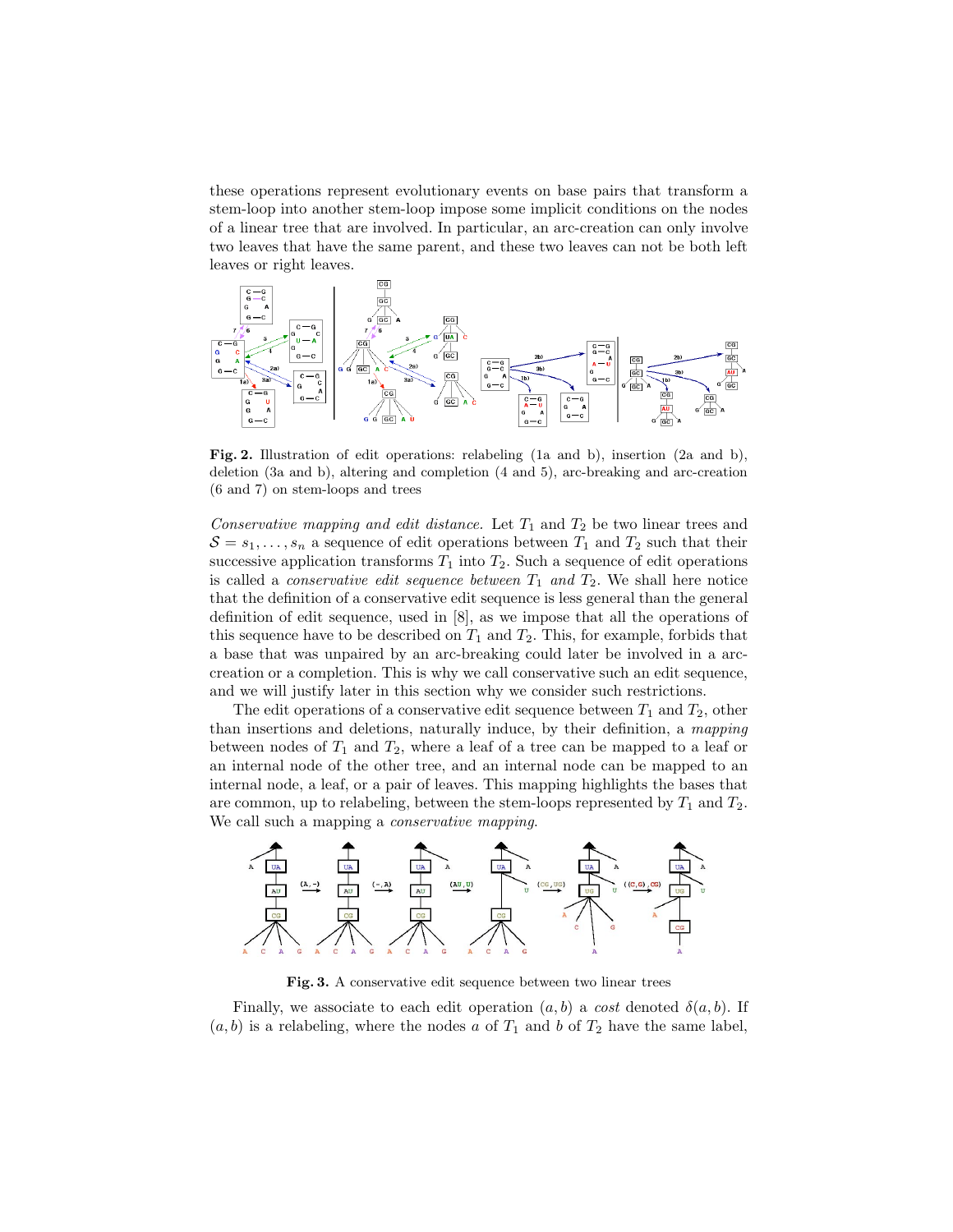these operations represent evolutionary events on base pairs that transform a stem-loop into another stem-loop impose some implicit conditions on the nodes of a linear tree that are involved. In particular, an arc-creation can only involve two leaves that have the same parent, and these two leaves can not be both left leaves or right leaves.



Fig. 2. Illustration of edit operations: relabeling (1a and b), insertion (2a and b), deletion (3a and b), altering and completion (4 and 5), arc-breaking and arc-creation (6 and 7) on stem-loops and trees

Conservative mapping and edit distance. Let  $T_1$  and  $T_2$  be two linear trees and  $S = s_1, \ldots, s_n$  a sequence of edit operations between  $T_1$  and  $T_2$  such that their successive application transforms  $T_1$  into  $T_2$ . Such a sequence of edit operations is called a *conservative edit sequence between*  $T_1$  and  $T_2$ . We shall here notice that the definition of a conservative edit sequence is less general than the general definition of edit sequence, used in [8], as we impose that all the operations of this sequence have to be described on  $T_1$  and  $T_2$ . This, for example, forbids that a base that was unpaired by an arc-breaking could later be involved in a arccreation or a completion. This is why we call conservative such an edit sequence, and we will justify later in this section why we consider such restrictions.

The edit operations of a conservative edit sequence between  $T_1$  and  $T_2$ , other than insertions and deletions, naturally induce, by their definition, a mapping between nodes of  $T_1$  and  $T_2$ , where a leaf of a tree can be mapped to a leaf or an internal node of the other tree, and an internal node can be mapped to an internal node, a leaf, or a pair of leaves. This mapping highlights the bases that are common, up to relabeling, between the stem-loops represented by  $T_1$  and  $T_2$ . We call such a mapping a *conservative mapping*.



Fig. 3. A conservative edit sequence between two linear trees

Finally, we associate to each edit operation  $(a, b)$  a cost denoted  $\delta(a, b)$ . If  $(a, b)$  is a relabeling, where the nodes a of  $T_1$  and b of  $T_2$  have the same label,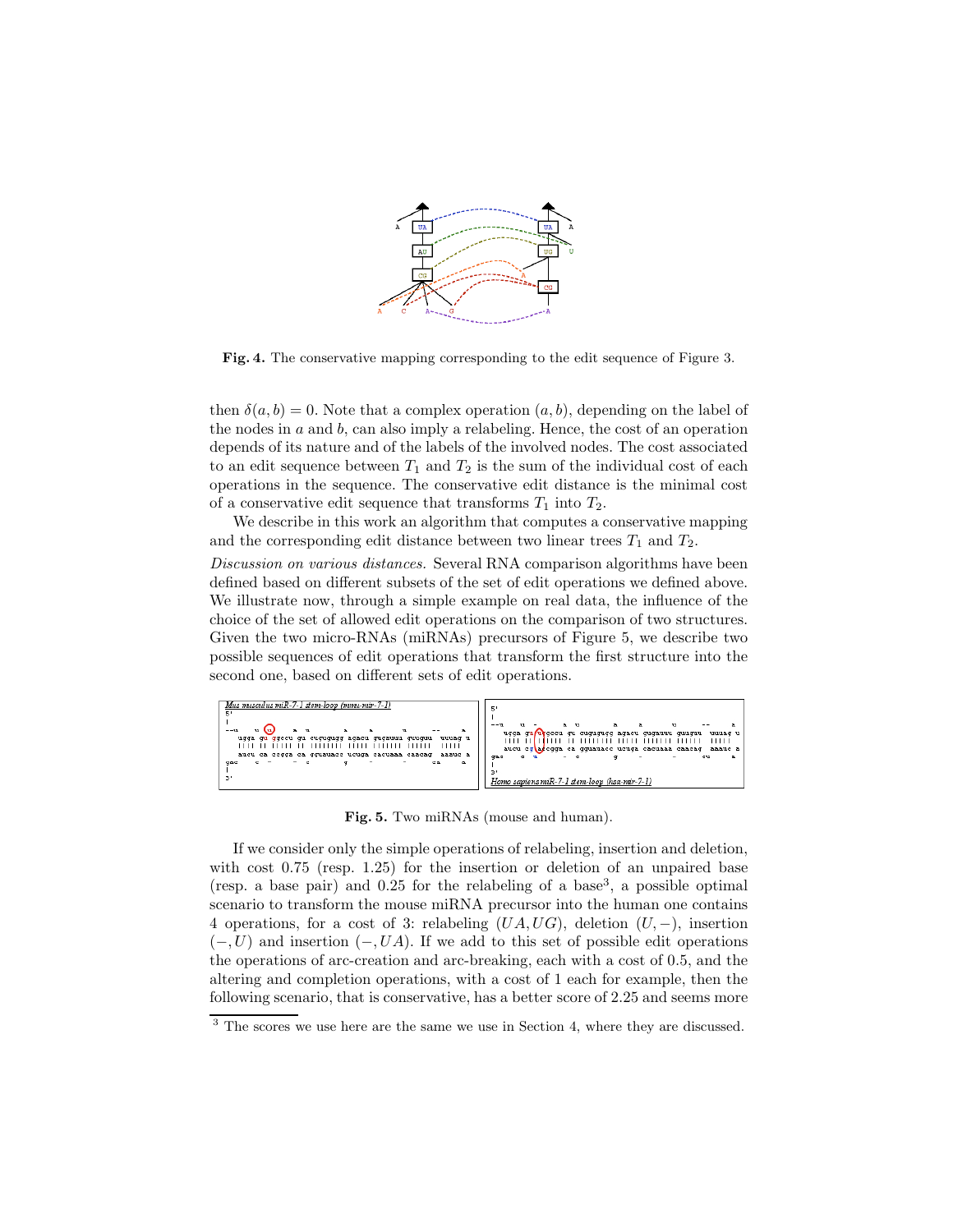

Fig. 4. The conservative mapping corresponding to the edit sequence of Figure 3.

then  $\delta(a, b) = 0$ . Note that a complex operation  $(a, b)$ , depending on the label of the nodes in  $a$  and  $b$ , can also imply a relabeling. Hence, the cost of an operation depends of its nature and of the labels of the involved nodes. The cost associated to an edit sequence between  $T_1$  and  $T_2$  is the sum of the individual cost of each operations in the sequence. The conservative edit distance is the minimal cost of a conservative edit sequence that transforms  $T_1$  into  $T_2$ .

We describe in this work an algorithm that computes a conservative mapping and the corresponding edit distance between two linear trees  $T_1$  and  $T_2$ .

Discussion on various distances. Several RNA comparison algorithms have been defined based on different subsets of the set of edit operations we defined above. We illustrate now, through a simple example on real data, the influence of the choice of the set of allowed edit operations on the comparison of two structures. Given the two micro-RNAs (miRNAs) precursors of Figure 5, we describe two possible sequences of edit operations that transform the first structure into the second one, based on different sets of edit operations.



Fig. 5. Two miRNAs (mouse and human).

If we consider only the simple operations of relabeling, insertion and deletion, with cost 0.75 (resp. 1.25) for the insertion or deletion of an unpaired base (resp. a base pair) and  $0.25$  for the relabeling of a base<sup>3</sup>, a possible optimal scenario to transform the mouse miRNA precursor into the human one contains 4 operations, for a cost of 3: relabeling  $(UA, UG)$ , deletion  $(U, -)$ , insertion  $(-, U)$  and insertion  $(-, UA)$ . If we add to this set of possible edit operations the operations of arc-creation and arc-breaking, each with a cost of 0.5, and the altering and completion operations, with a cost of 1 each for example, then the following scenario, that is conservative, has a better score of 2.25 and seems more

<sup>&</sup>lt;sup>3</sup> The scores we use here are the same we use in Section 4, where they are discussed.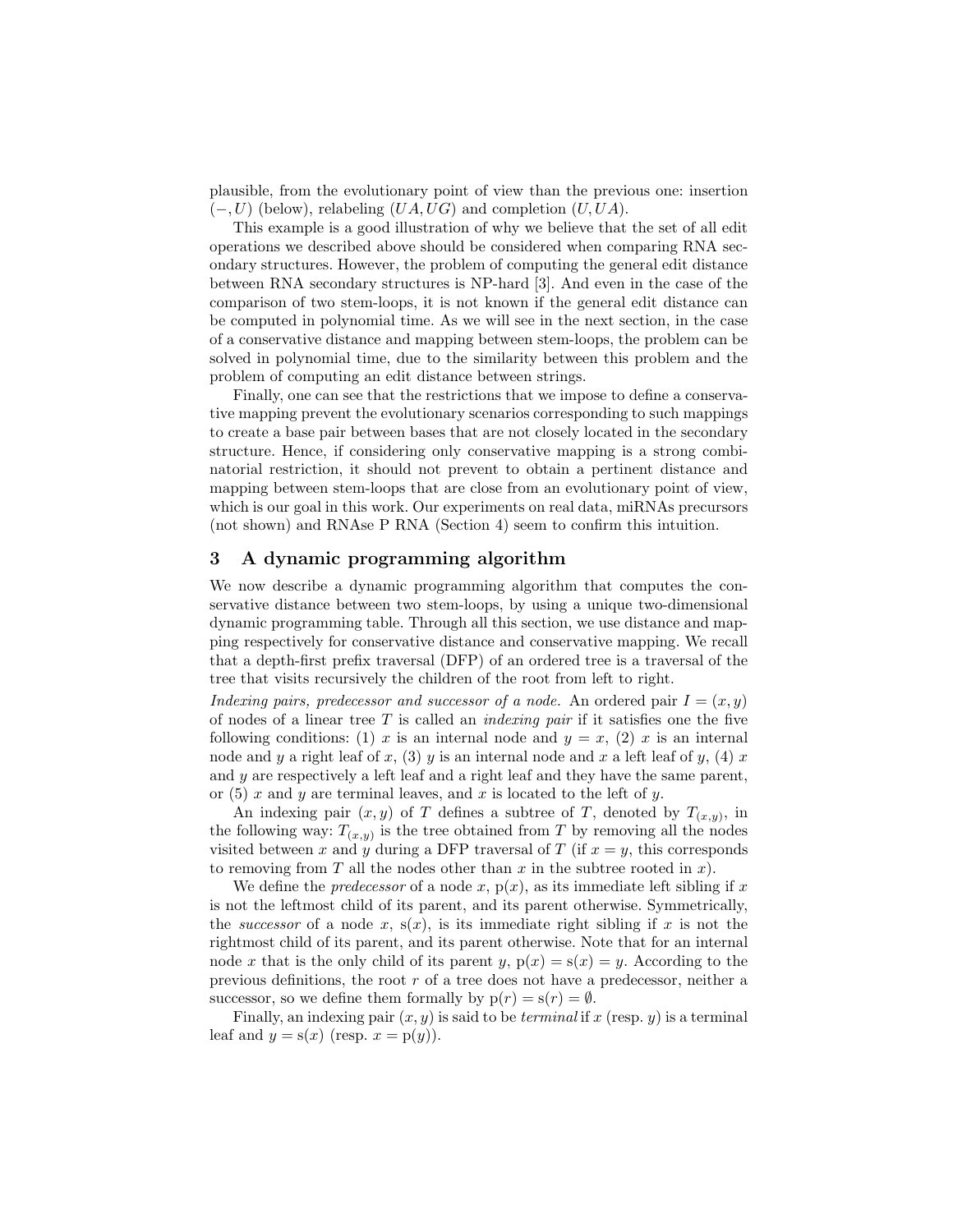plausible, from the evolutionary point of view than the previous one: insertion  $(-, U)$  (below), relabeling  $(UA, UG)$  and completion  $(U, UA)$ .

This example is a good illustration of why we believe that the set of all edit operations we described above should be considered when comparing RNA secondary structures. However, the problem of computing the general edit distance between RNA secondary structures is NP-hard [3]. And even in the case of the comparison of two stem-loops, it is not known if the general edit distance can be computed in polynomial time. As we will see in the next section, in the case of a conservative distance and mapping between stem-loops, the problem can be solved in polynomial time, due to the similarity between this problem and the problem of computing an edit distance between strings.

Finally, one can see that the restrictions that we impose to define a conservative mapping prevent the evolutionary scenarios corresponding to such mappings to create a base pair between bases that are not closely located in the secondary structure. Hence, if considering only conservative mapping is a strong combinatorial restriction, it should not prevent to obtain a pertinent distance and mapping between stem-loops that are close from an evolutionary point of view, which is our goal in this work. Our experiments on real data, miRNAs precursors (not shown) and RNAse P RNA (Section 4) seem to confirm this intuition.

## 3 A dynamic programming algorithm

We now describe a dynamic programming algorithm that computes the conservative distance between two stem-loops, by using a unique two-dimensional dynamic programming table. Through all this section, we use distance and mapping respectively for conservative distance and conservative mapping. We recall that a depth-first prefix traversal (DFP) of an ordered tree is a traversal of the tree that visits recursively the children of the root from left to right.

Indexing pairs, predecessor and successor of a node. An ordered pair  $I = (x, y)$ of nodes of a linear tree  $T$  is called an *indexing pair* if it satisfies one the five following conditions: (1) x is an internal node and  $y = x$ , (2) x is an internal node and y a right leaf of x, (3) y is an internal node and x a left leaf of y, (4) x and  $y$  are respectively a left leaf and a right leaf and they have the same parent, or (5) x and y are terminal leaves, and x is located to the left of y.

An indexing pair  $(x, y)$  of T defines a subtree of T, denoted by  $T_{(x,y)}$ , in the following way:  $T_{(x,y)}$  is the tree obtained from T by removing all the nodes visited between x and y during a DFP traversal of T (if  $x = y$ , this corresponds to removing from T all the nodes other than  $x$  in the subtree rooted in  $x$ ).

We define the *predecessor* of a node x,  $p(x)$ , as its immediate left sibling if x is not the leftmost child of its parent, and its parent otherwise. Symmetrically, the *successor* of a node x,  $s(x)$ , is its immediate right sibling if x is not the rightmost child of its parent, and its parent otherwise. Note that for an internal node x that is the only child of its parent y,  $p(x) = s(x) = y$ . According to the previous definitions, the root r of a tree does not have a predecessor, neither a successor, so we define them formally by  $p(r) = s(r) = \emptyset$ .

Finally, an indexing pair  $(x, y)$  is said to be *terminal* if x (resp. y) is a terminal leaf and  $y = s(x)$  (resp.  $x = p(y)$ ).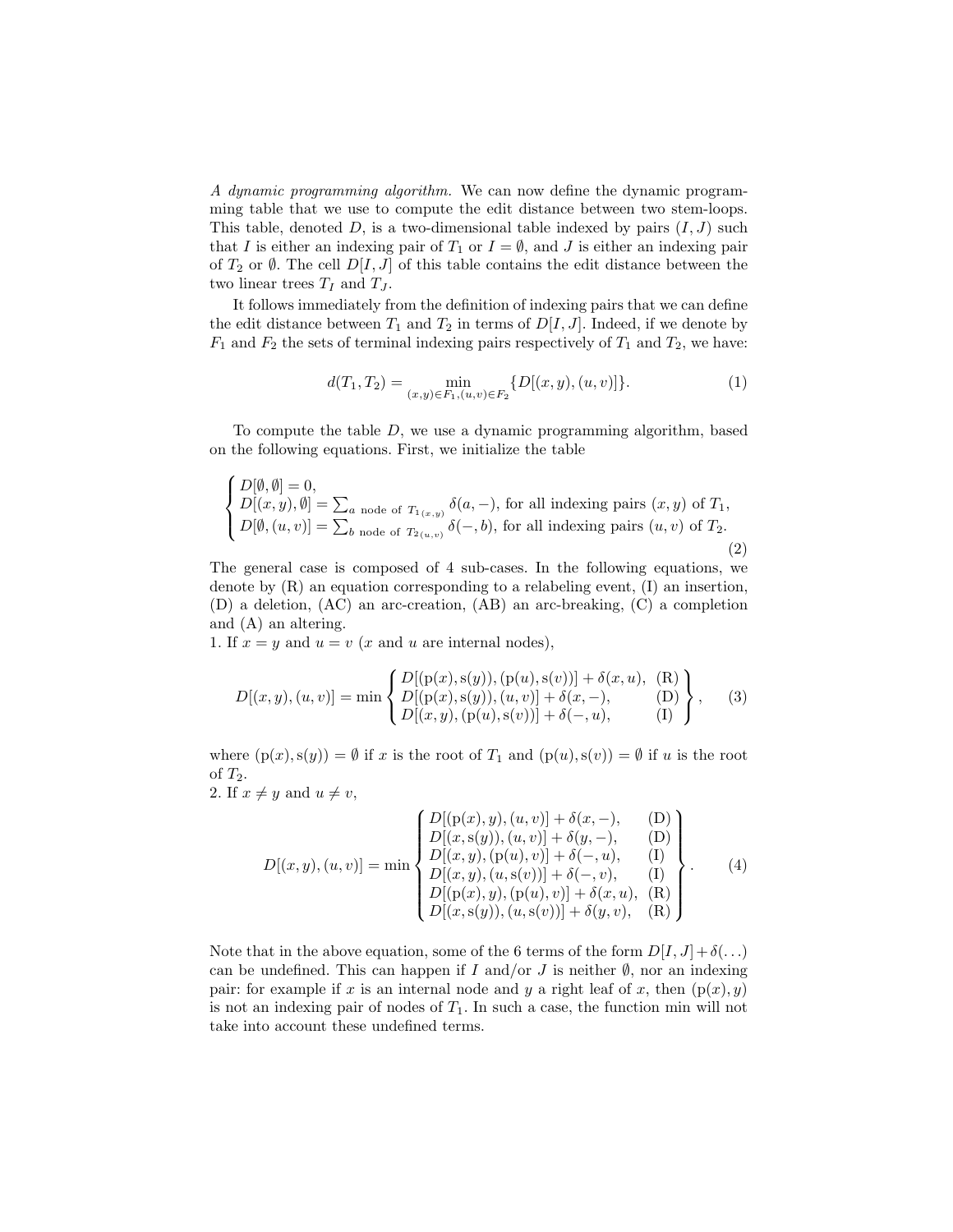A dynamic programming algorithm. We can now define the dynamic programming table that we use to compute the edit distance between two stem-loops. This table, denoted  $D$ , is a two-dimensional table indexed by pairs  $(I, J)$  such that I is either an indexing pair of  $T_1$  or  $I = \emptyset$ , and J is either an indexing pair of  $T_2$  or  $\emptyset$ . The cell  $D[I, J]$  of this table contains the edit distance between the two linear trees  $T_I$  and  $T_J$ .

It follows immediately from the definition of indexing pairs that we can define the edit distance between  $T_1$  and  $T_2$  in terms of  $D[I, J]$ . Indeed, if we denote by  $F_1$  and  $F_2$  the sets of terminal indexing pairs respectively of  $T_1$  and  $T_2$ , we have:

$$
d(T_1, T_2) = \min_{(x,y)\in F_1, (u,v)\in F_2} \{D[(x,y), (u,v)]\}.
$$
 (1)

To compute the table D, we use a dynamic programming algorithm, based on the following equations. First, we initialize the table

$$
\begin{cases}\nD[\emptyset, \emptyset] = 0, \\
D[(x, y), \emptyset] = \sum_{a \text{ node of } T_{1(x, y)}} \delta(a, -), \text{ for all indexing pairs } (x, y) \text{ of } T_1, \\
D[\emptyset, (u, v)] = \sum_{b \text{ node of } T_{2(u, v)}} \delta(-, b), \text{ for all indexing pairs } (u, v) \text{ of } T_2.\n\end{cases}
$$
\n(2)

The general case is composed of 4 sub-cases. In the following equations, we denote by  $(R)$  an equation corresponding to a relabeling event,  $(I)$  an insertion, (D) a deletion, (AC) an arc-creation, (AB) an arc-breaking, (C) a completion and (A) an altering.

1. If  $x = y$  and  $u = v$  (x and u are internal nodes),

$$
D[(x, y), (u, v)] = \min \left\{ \begin{array}{l} D[(p(x), s(y)), (p(u), s(v))] + \delta(x, u), (R) \\ D[(p(x), s(y)), (u, v)] + \delta(x, -), (D) \\ D[(x, y), (p(u), s(v))] + \delta(-, u), (I) \end{array} \right\},
$$
(3)

where  $(p(x), s(y)) = \emptyset$  if x is the root of  $T_1$  and  $(p(u), s(v)) = \emptyset$  if u is the root of  $T_2$ .

2. If  $x \neq y$  and  $u \neq v$ ,

$$
D[(x, y), (u, v)] = \min \begin{cases} D[(p(x), y), (u, v)] + \delta(x, -), & (D) \\ D[(x, s(y)), (u, v)] + \delta(y, -), & (D) \\ D[(x, y), (p(u), v)] + \delta(-, u), & (I) \\ D[(x, y), (u, s(v))] + \delta(-, v), & (I) \\ D[(p(x), y), (p(u), v)] + \delta(x, u), & (R) \\ D[(x, s(y)), (u, s(v))] + \delta(y, v), & (R) \end{cases} (4)
$$

Note that in the above equation, some of the 6 terms of the form  $D[I, J] + \delta$ ...) can be undefined. This can happen if I and/or J is neither  $\emptyset$ , nor an indexing pair: for example if x is an internal node and y a right leaf of x, then  $(p(x), y)$ is not an indexing pair of nodes of  $T_1$ . In such a case, the function min will not take into account these undefined terms.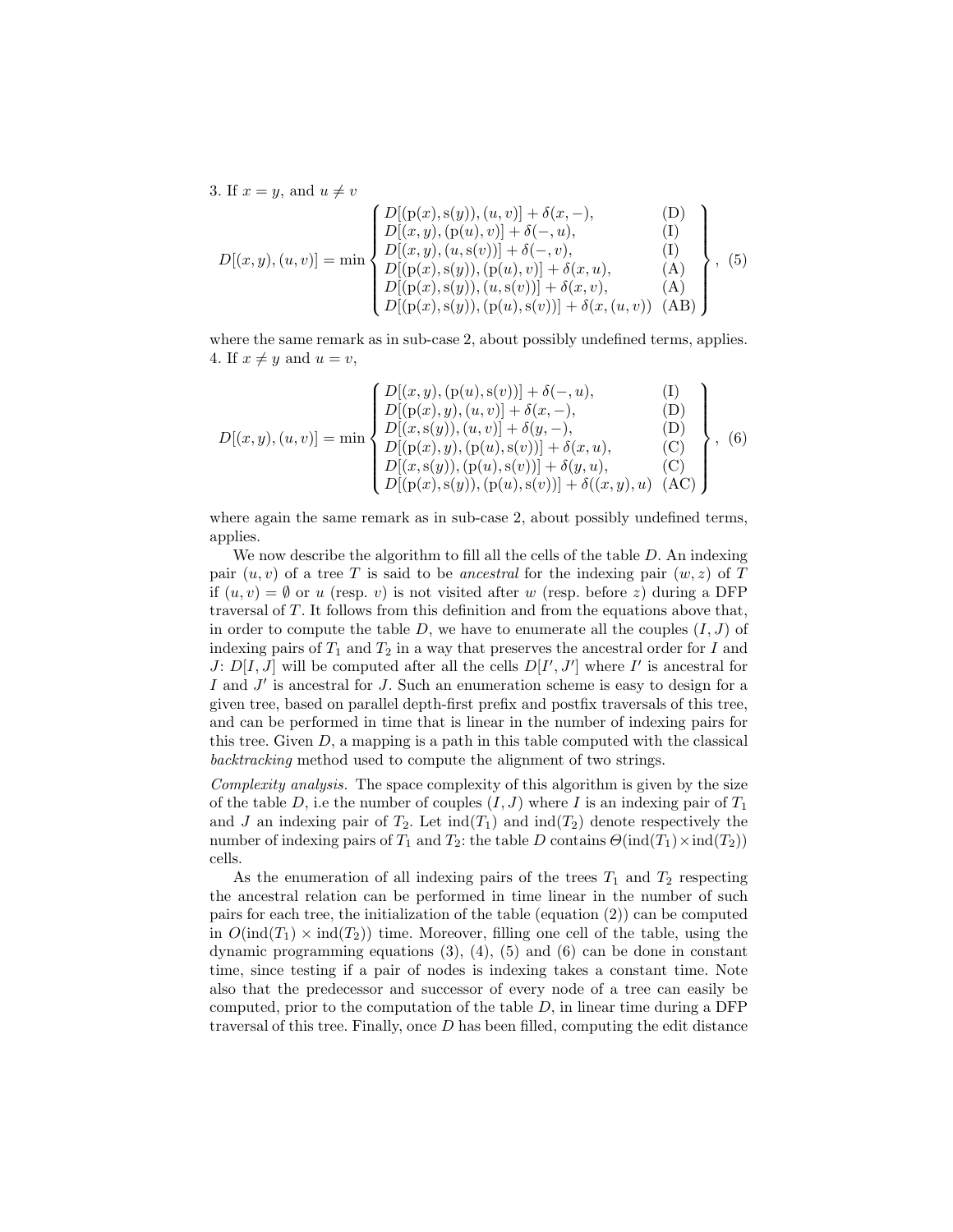3. If  $x = y$ , and  $u \neq v$  $D[(x, y), (u, v)] = \min$  $\sqrt{ }$  $\int$  $\overline{\mathcal{L}}$  $D[(p(x), s(y)), (u, v)] + \delta(x, -),$  (D)  $D[(x, y), (p(u), v)] + \delta(-, u),$  (I)  $D[(x, y), (u, s(v))] + \delta(-, v),$  (I)  $D[(p(x), s(y)), (p(u), v)] + \delta(x, u),$  (A)  $D[(p(x),s(y)),(u,s(v))] + \delta(x,v),$  (A)  $D[(p(x),s(y)),(p(u),s(v))] + \delta(x,(u,v))$  (AB)  $\mathcal{L}$  $\overline{\mathcal{L}}$  $\int$ , (5)

where the same remark as in sub-case 2, about possibly undefined terms, applies. 4. If  $x \neq y$  and  $u = v$ ,

$$
D[(x, y), (u, v)] = \min \left\{ \begin{array}{l} D[(x, y), (p(u), s(v))] + \delta(-, u), & (I) \\ D[(p(x), y), (u, v)] + \delta(x, -), & (D) \\ D[(x, s(y)), (u, v)] + \delta(y, -), & (D) \\ D[(p(x), y), (p(u), s(v))] + \delta(x, u), & (C) \\ D[(x, s(y)), (p(u), s(v))] + \delta(y, u), & (C) \\ D[(p(x), s(y)), (p(u), s(v))] + \delta((x, y), u) & (AC) \end{array} \right\}, \quad (6)
$$

where again the same remark as in sub-case 2, about possibly undefined terms, applies.

We now describe the algorithm to fill all the cells of the table D. An indexing pair  $(u, v)$  of a tree T is said to be ancestral for the indexing pair  $(w, z)$  of T if  $(u, v) = \emptyset$  or u (resp. v) is not visited after w (resp. before z) during a DFP traversal of T . It follows from this definition and from the equations above that, in order to compute the table  $D$ , we have to enumerate all the couples  $(I, J)$  of indexing pairs of  $T_1$  and  $T_2$  in a way that preserves the ancestral order for I and J:  $D[I, J]$  will be computed after all the cells  $D[I', J']$  where I' is ancestral for I and  $J'$  is ancestral for J. Such an enumeration scheme is easy to design for a given tree, based on parallel depth-first prefix and postfix traversals of this tree, and can be performed in time that is linear in the number of indexing pairs for this tree. Given  $D$ , a mapping is a path in this table computed with the classical backtracking method used to compute the alignment of two strings.

Complexity analysis. The space complexity of this algorithm is given by the size of the table D, i.e the number of couples  $(I, J)$  where I is an indexing pair of  $T_1$ and J an indexing pair of  $T_2$ . Let  $\text{ind}(T_1)$  and  $\text{ind}(T_2)$  denote respectively the number of indexing pairs of  $T_1$  and  $T_2$ : the table D contains  $\Theta(\text{ind}(T_1) \times \text{ind}(T_2))$ cells.

As the enumeration of all indexing pairs of the trees  $T_1$  and  $T_2$  respecting the ancestral relation can be performed in time linear in the number of such pairs for each tree, the initialization of the table (equation (2)) can be computed in  $O(\text{ind}(T_1) \times \text{ind}(T_2))$  time. Moreover, filling one cell of the table, using the dynamic programming equations  $(3)$ ,  $(4)$ ,  $(5)$  and  $(6)$  can be done in constant time, since testing if a pair of nodes is indexing takes a constant time. Note also that the predecessor and successor of every node of a tree can easily be computed, prior to the computation of the table  $D$ , in linear time during a DFP traversal of this tree. Finally, once  $D$  has been filled, computing the edit distance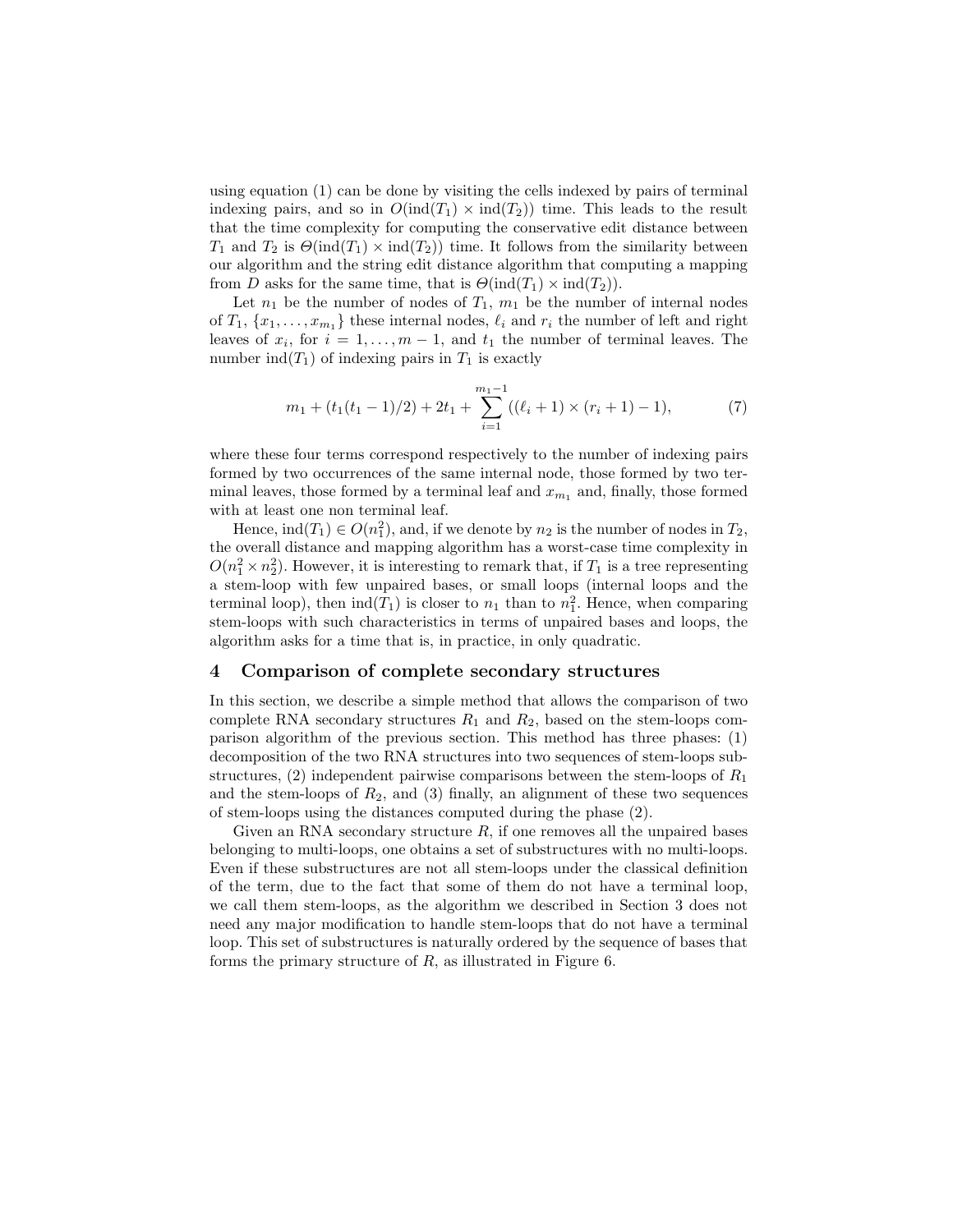using equation (1) can be done by visiting the cells indexed by pairs of terminal indexing pairs, and so in  $O(\text{ind}(T_1) \times \text{ind}(T_2))$  time. This leads to the result that the time complexity for computing the conservative edit distance between  $T_1$  and  $T_2$  is  $\Theta(\text{ind}(T_1) \times \text{ind}(T_2))$  time. It follows from the similarity between our algorithm and the string edit distance algorithm that computing a mapping from D asks for the same time, that is  $\Theta(\text{ind}(T_1) \times \text{ind}(T_2)).$ 

Let  $n_1$  be the number of nodes of  $T_1$ ,  $m_1$  be the number of internal nodes of  $T_1, \{x_1, \ldots, x_{m_1}\}\)$  these internal nodes,  $\ell_i$  and  $r_i$  the number of left and right leaves of  $x_i$ , for  $i = 1, ..., m - 1$ , and  $t_1$  the number of terminal leaves. The number  $ind(T_1)$  of indexing pairs in  $T_1$  is exactly

$$
m_1 + (t_1(t_1 - 1)/2) + 2t_1 + \sum_{i=1}^{m_1 - 1} ((\ell_i + 1) \times (r_i + 1) - 1),
$$
 (7)

where these four terms correspond respectively to the number of indexing pairs formed by two occurrences of the same internal node, those formed by two terminal leaves, those formed by a terminal leaf and  $x_{m_1}$  and, finally, those formed with at least one non terminal leaf.

Hence,  $\text{ind}(T_1) \in O(n_1^2)$ , and, if we denote by  $n_2$  is the number of nodes in  $T_2$ , the overall distance and mapping algorithm has a worst-case time complexity in  $O(n_1^2 \times n_2^2)$ . However, it is interesting to remark that, if  $T_1$  is a tree representing a stem-loop with few unpaired bases, or small loops (internal loops and the terminal loop), then  $\text{ind}(T_1)$  is closer to  $n_1$  than to  $n_1^2$ . Hence, when comparing stem-loops with such characteristics in terms of unpaired bases and loops, the algorithm asks for a time that is, in practice, in only quadratic.

#### 4 Comparison of complete secondary structures

In this section, we describe a simple method that allows the comparison of two complete RNA secondary structures  $R_1$  and  $R_2$ , based on the stem-loops comparison algorithm of the previous section. This method has three phases: (1) decomposition of the two RNA structures into two sequences of stem-loops substructures,  $(2)$  independent pairwise comparisons between the stem-loops of  $R_1$ and the stem-loops of  $R_2$ , and (3) finally, an alignment of these two sequences of stem-loops using the distances computed during the phase (2).

Given an RNA secondary structure  $R$ , if one removes all the unpaired bases belonging to multi-loops, one obtains a set of substructures with no multi-loops. Even if these substructures are not all stem-loops under the classical definition of the term, due to the fact that some of them do not have a terminal loop, we call them stem-loops, as the algorithm we described in Section 3 does not need any major modification to handle stem-loops that do not have a terminal loop. This set of substructures is naturally ordered by the sequence of bases that forms the primary structure of  $R$ , as illustrated in Figure 6.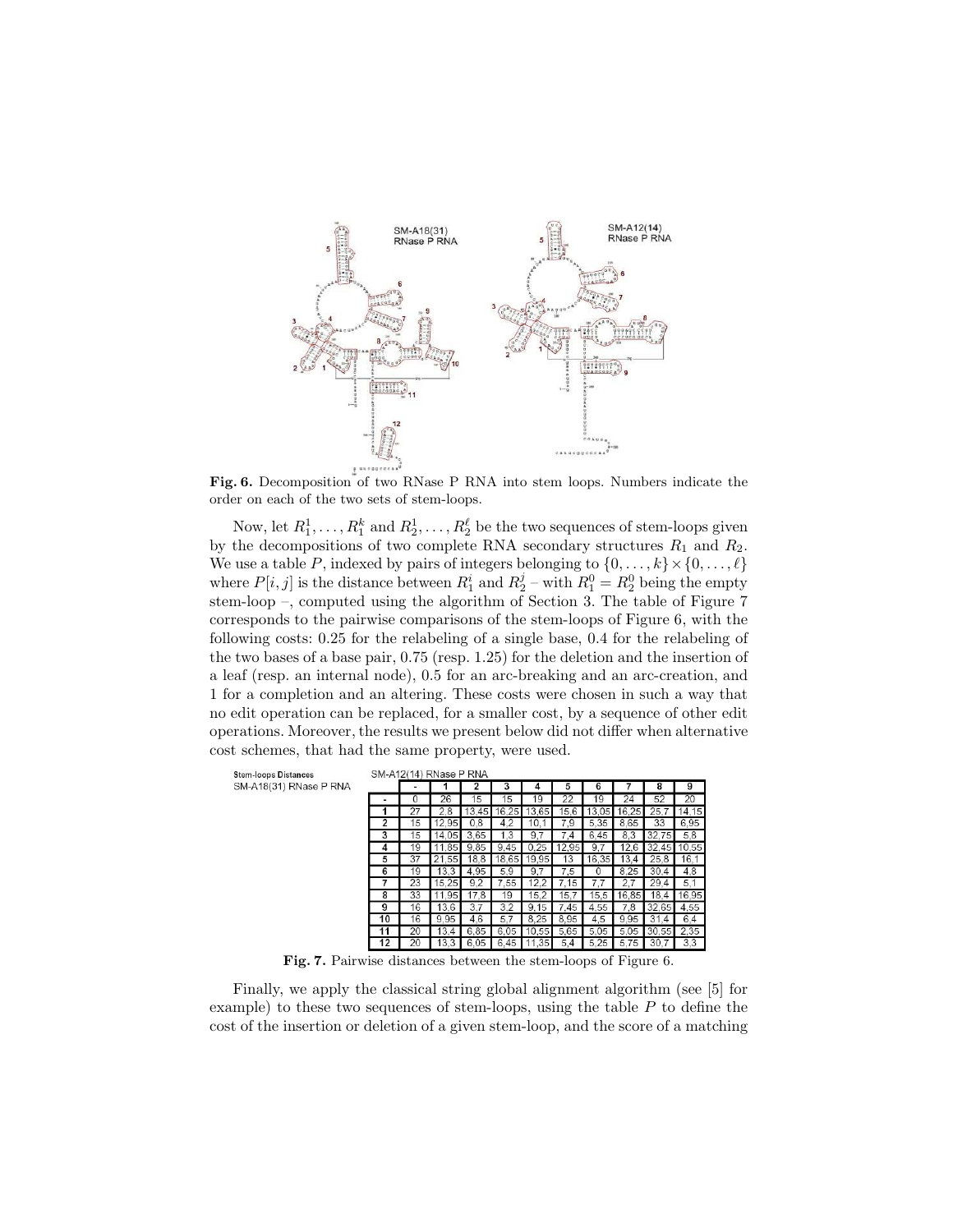

Fig. 6. Decomposition of two RNase P RNA into stem loops. Numbers indicate the order on each of the two sets of stem-loops.

Now, let  $R_1^1, \ldots, R_1^k$  and  $R_2^1, \ldots, R_2^{\ell}$  be the two sequences of stem-loops given by the decompositions of two complete RNA secondary structures  $R_1$  and  $R_2$ . We use a table P, indexed by pairs of integers belonging to  $\{0, \ldots, k\} \times \{0, \ldots, \ell\}$ where  $P[i, j]$  is the distance between  $R_1^i$  and  $R_2^j$  – with  $R_1^0 = R_2^0$  being the empty stem-loop –, computed using the algorithm of Section 3. The table of Figure 7 corresponds to the pairwise comparisons of the stem-loops of Figure 6, with the following costs: 0.25 for the relabeling of a single base, 0.4 for the relabeling of the two bases of a base pair, 0.75 (resp. 1.25) for the deletion and the insertion of a leaf (resp. an internal node), 0.5 for an arc-breaking and an arc-creation, and 1 for a completion and an altering. These costs were chosen in such a way that no edit operation can be replaced, for a smaller cost, by a sequence of other edit operations. Moreover, the results we present below did not differ when alternative cost schemes, that had the same property, were used.

**Stem-loops Distances** SM-A18(31) RNase P RNA **CM A12(14) DNose B DNA** 

|                | SM-ATZ(14) RIVESE P RIVA |       |       |       |       |                |       |       |       |       |
|----------------|--------------------------|-------|-------|-------|-------|----------------|-------|-------|-------|-------|
|                |                          |       |       |       |       | 5              | 6     |       | 8     | 9     |
|                |                          | 26    | 15    | 15    | 19    | 22             | 19    | 24    | 52    | 20    |
|                | 27                       | 2,8   | 13.45 | 16,25 | 13.65 | 15.6           | 13,05 | 16,25 | 25.7  | 14,15 |
| $\overline{2}$ | 15                       | 12,95 | 0,8   | 4,2   | 10.1  | 7,9            | 5.35  | 8.65  | 33    | 6.95  |
| 3              | 15                       | 14.05 | 3.65  | 1.3   | 9.7   | $\cdot$        | 6.45  | 8.3   | 32,75 | 5,8   |
| 4              | 19                       | 11.85 | 9.85  | 9.45  | 0.25  | 12.95          | 9.7   | 12.6  | 32.45 | 10,55 |
| 5              | 37                       | 21.55 | 18.8  | 18.65 | 19,95 | 13             | 16.35 | 13.4  | 25.8  | 16.1  |
| 6              | 19                       | 13.3  | 4.95  | 5,9   | 9.7   | 7.5            |       | 8.25  | 30.4  | 4,8   |
|                | 23                       | 15.25 | 9.2   | 7.55  | 12.2  | 7.15           | 7.7   | 2.7   | 29.4  | 5.1   |
| 8              | 33                       | 11,95 | 17.8  | 19    | 15.2  | 15.7           | 15,5  | 16,85 | 18.4  | 16,95 |
| 9              | 16                       | 13.6  | 3.7   | 3.2   | 9.15  | 7.45           | 4.55  | 7.8   | 32,65 | 4.55  |
| 10             | 16                       | 9.95  | 4,6   | 5.7   | 8.25  | 8.95           | 4,5   | 9.95  | 31.4  | 6.4   |
| 11             | 20                       | 13.4  | 6.85  | 6.05  | 10,55 | 5.65           | 5.05  | 5.05  | 30,55 | 2.35  |
|                |                          |       |       | 45    | 35    | $\overline{4}$ | 25    | 575   | 30    | 33    |

Fig. 7. Pairwise distances between the stem-loops of Figure 6.

Finally, we apply the classical string global alignment algorithm (see [5] for example) to these two sequences of stem-loops, using the table  $P$  to define the cost of the insertion or deletion of a given stem-loop, and the score of a matching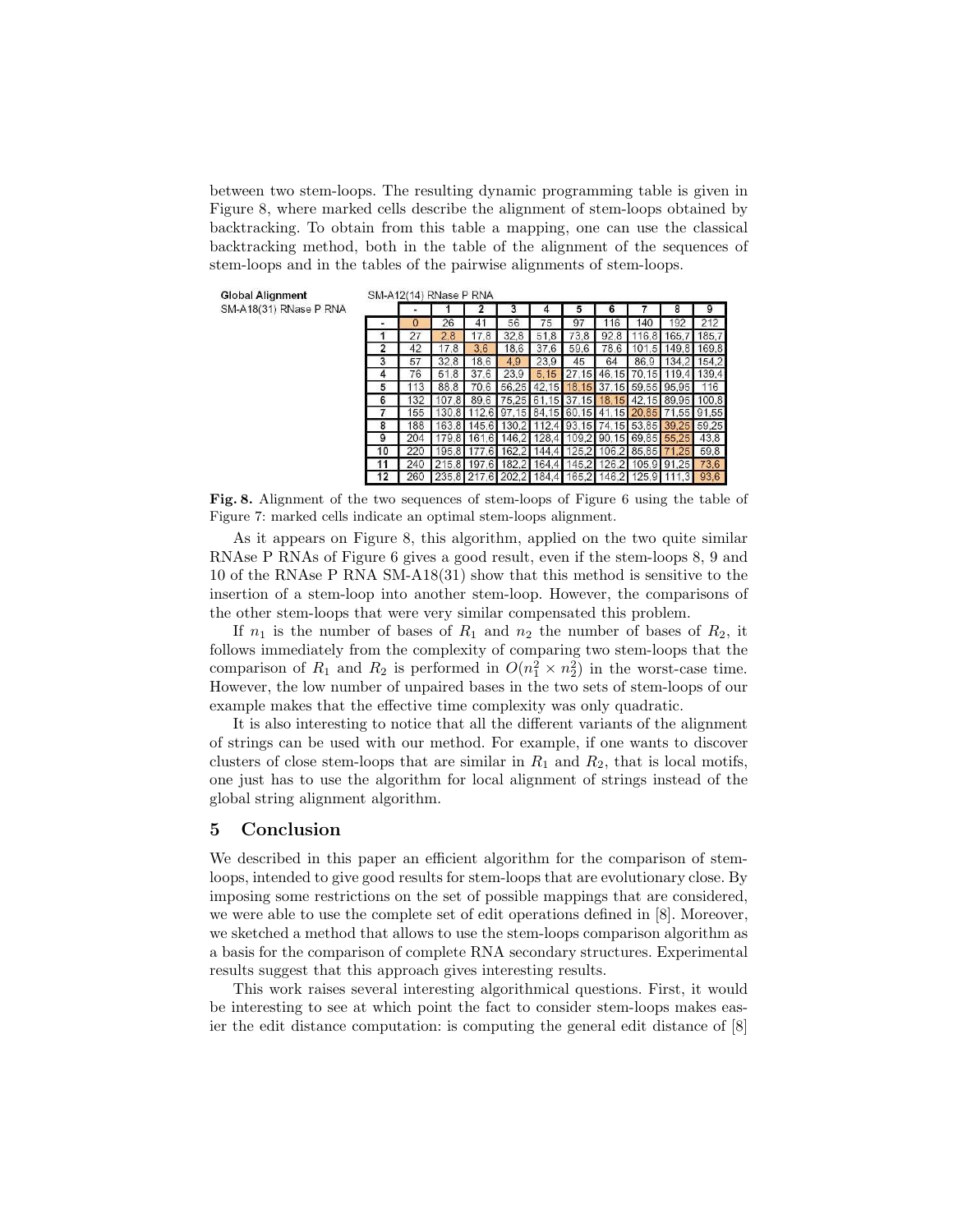between two stem-loops. The resulting dynamic programming table is given in Figure 8, where marked cells describe the alignment of stem-loops obtained by backtracking. To obtain from this table a mapping, one can use the classical backtracking method, both in the table of the alignment of the sequences of stem-loops and in the tables of the pairwise alignments of stem-loops.

**Global Alignment** SM-A18(31) RNase P RNA  $O(1.1011)$   $D(1.011)$   $D(2.011)$ 

|                |     |       |       |                         |             |       |                                                 |       |       | 9           |
|----------------|-----|-------|-------|-------------------------|-------------|-------|-------------------------------------------------|-------|-------|-------------|
|                |     | 26    |       | 56                      | 75          | 97    |                                                 |       |       |             |
|                |     | 2.8   | 17.8  | 32.8                    | 51.8        | 73.8  | 92.8                                            | 116.8 | 165.7 | 185.7       |
|                |     | 17.8  | 3.6   | 18.6                    | 37.6        | 59.6  | 78.6                                            | 101,5 | 149.8 | 169.8       |
| 3              | 57  | 32.8  | 18.6  | 4.9                     | 23.9        | 45    | 64                                              | 86.9  |       | 134.2 154.2 |
| 4              | 76  | 51.8  | 37.6  | 23.9                    | 5.15        | 27.15 | 46,15                                           | 70,15 | 119.4 | 139,4       |
| 5              | 113 | 88.8  | 70.6  |                         | 56,25 42,15 |       | 18,15 37,15 59,55 95,95                         |       |       | 116         |
| 6              | 132 | 107.8 | 89.6  |                         |             |       | 75,25 61,15 37,15 18,15 42,15 89,95 100,8       |       |       |             |
| $\overline{7}$ | 155 | 130.8 |       |                         |             |       | 112.6 97.15 84.15 60.15 41.15 20.85 71.55 91.55 |       |       |             |
| 8              | 188 | 163.8 |       |                         |             |       | 145,6 130,2 112,4 93,15 74,15 53,85 39,25 59,25 |       |       |             |
| 9              | 204 | 179.8 |       |                         |             |       | 161,6 146,2 128,4 109,2 90,15 69,85 55,25       |       |       | 43.8        |
| 10             | 220 | 195.8 | 177.6 |                         | 162.2 144.4 |       | 125.2 106.2 85.85                               |       | 71.25 | 59.8        |
| 11             | 240 | 215.8 | 197.6 |                         | 182,2 164,4 |       | 145,2 126,2 105,9 91,25                         |       |       | 73.6        |
|                |     |       |       | 235,8 217,6 202,2 184,4 |             |       | 165,2 146,2 125,9                               |       | 111.3 | 93.6        |

Fig. 8. Alignment of the two sequences of stem-loops of Figure 6 using the table of Figure 7: marked cells indicate an optimal stem-loops alignment.

As it appears on Figure 8, this algorithm, applied on the two quite similar RNAse P RNAs of Figure 6 gives a good result, even if the stem-loops 8, 9 and 10 of the RNAse P RNA SM-A18(31) show that this method is sensitive to the insertion of a stem-loop into another stem-loop. However, the comparisons of the other stem-loops that were very similar compensated this problem.

If  $n_1$  is the number of bases of  $R_1$  and  $n_2$  the number of bases of  $R_2$ , it follows immediately from the complexity of comparing two stem-loops that the comparison of  $R_1$  and  $R_2$  is performed in  $O(n_1^2 \times n_2^2)$  in the worst-case time. However, the low number of unpaired bases in the two sets of stem-loops of our example makes that the effective time complexity was only quadratic.

It is also interesting to notice that all the different variants of the alignment of strings can be used with our method. For example, if one wants to discover clusters of close stem-loops that are similar in  $R_1$  and  $R_2$ , that is local motifs, one just has to use the algorithm for local alignment of strings instead of the global string alignment algorithm.

## 5 Conclusion

We described in this paper an efficient algorithm for the comparison of stemloops, intended to give good results for stem-loops that are evolutionary close. By imposing some restrictions on the set of possible mappings that are considered, we were able to use the complete set of edit operations defined in [8]. Moreover, we sketched a method that allows to use the stem-loops comparison algorithm as a basis for the comparison of complete RNA secondary structures. Experimental results suggest that this approach gives interesting results.

This work raises several interesting algorithmical questions. First, it would be interesting to see at which point the fact to consider stem-loops makes easier the edit distance computation: is computing the general edit distance of [8]